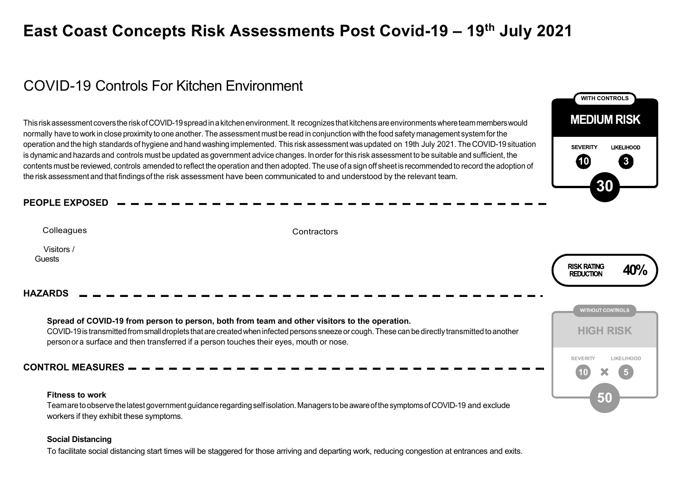# **East Coast Concepts Risk Assessments Post Covid-19 – 19th July 2021**

# COVID-19 Controls For Kitchen Environment

Thisriskassessment coverstheriskofCOVID-19spreadinakitchenenvironment.It recognizesthat kitchensareenvironmentswhereteammemberswould normally have to work in close proximity to one another. The assessment must be read in conjunction withthe food safety management systemfor the operation and the high standards of hygiene and hand washing implemented. This risk assessment wasupdated on 19th July 2021. The COVID-19 situation is dynamicand hazards and controls must be updated as government advice changes. Inorder for this risk assessment to be suitable and sufficient, the contents must be reviewed, controls amended to reflect the operation and then adopted. The use of a sign off sheet is recommendedto record the adoption of the risk assessment and that findings of the risk assessment have been communicated to and understood by the relevant team.

## **PEOPLE EXPOSED**

| Colleagues                | Contractors                                                                                                                                                                                                                                                                                                                                  |                                               |
|---------------------------|----------------------------------------------------------------------------------------------------------------------------------------------------------------------------------------------------------------------------------------------------------------------------------------------------------------------------------------------|-----------------------------------------------|
| Visitors /<br>Guests      |                                                                                                                                                                                                                                                                                                                                              | <b>RISK RATING</b><br>40%<br><b>REDUCTION</b> |
| <b>HAZARDS</b>            |                                                                                                                                                                                                                                                                                                                                              |                                               |
|                           | Spread of COVID-19 from person to person, both from team and other visitors to the operation.<br>COVID-19 is transmitted from small droplets that are created when infected persons sneeze or cough. These can be directly transmitted to another<br>person or a surface and then transferred if a person touches their eyes, mouth or nose. | <b>WITHOUT CONTROLS</b><br><b>HIGH RISK</b>   |
| <b>CONTROL MEASURES —</b> |                                                                                                                                                                                                                                                                                                                                              | <b>SEVERITY</b><br><b>LIKELIHOOD</b>          |
| <b>Fitness to work</b>    | Team are to observe the latest government guidance regarding self isolation. Managers to be aware of the symptoms of COVID-19 and exclude<br>workers if they exhibit these symptoms.                                                                                                                                                         | 50                                            |

**WITH CONTROLS**

**MEDIUM RISK** 

**10 3**

**LIKELIHOOD** 

**30**

**SEVERITY**

#### **Social Distancing**

To facilitate social distancing start times will be staggered for those arriving and departing work, reducing congestion at entrances and exits.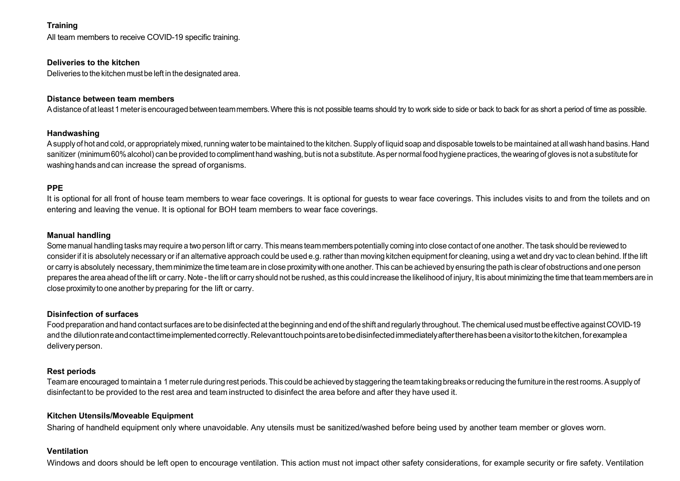### **Training**

All team members to receive COVID-19 specific training.

#### **Deliveries to the kitchen**

Deliveries to the kitchen mustbe left in the designated area.

#### **Distance between team members**

A distance of at least 1 meter is encouraged between team members. Where this is not possible teams should try to work side to side or back to back for as short a period of time as possible.

#### **Handwashing**

A supply of hot and cold, or appropriately mixed, running water to be maintained to the kitchen. Supply of liquid soap and disposable towels to be maintained at all wash hand basins. Hand sanitizer (minimum60% alcohol) can be provided to compliment hand washing, but is not a substitute. As per normal food hygiene practices, the wearing of gloves is not a substitute for washing hands and can increase the spread of organisms.

#### **PPE**

It is optional for all front of house team members to wear face coverings. It is optional for quests to wear face coverings. This includes visits to and from the toilets and on entering and leaving the venue. It is optional for BOH team members to wear face coverings.

#### **Manual handling**

Some manual handling tasks may require a two person lift or carry. This means team members potentially coming into close contact of one another. The task should be reviewed to consider if it is absolutely necessary or if an alternative approach could be used e.g. rather than moving kitchen equipment for cleaning, using a wet and dry vac to clean behind. If the lift or carry is absolutely necessary, themminimizethe timeteamare in close proximitywithone another. This can be achieved by ensuring the path is clear of obstructions and one person prepares the area ahead of the lift or carry. Note - the lift or carry should not be rushed, as this could increase the likelihood of injury, It is about minimizing the time that team members are in close proximity to one another by preparing for the lift or carry.

#### **Disinfection of surfaces**

Food preparation and hand contact surfaces are to be disinfected at the beginning and end of the shift and regularly throughout.The chemicalused mustbe effective against COVID-19 and the dilutionrateandcontacttimeimplementedcorrectly.Relevanttouchpointsaretobedisinfectedimmediatelyaftertherehasbeenavisitortothekitchen,forexamplea deliveryperson.

#### **Rest periods**

Teamare encouraged tomaintaina 1 meterrule during rest periods.This could be achieved by staggering the teamtaking breaks orreducing the furniture in the restrooms.Asupply of disinfectant to be provided to the rest area and team instructed to disinfect the area before and after they have used it.

#### **Kitchen Utensils/Moveable Equipment**

Sharing of handheld equipment only where unavoidable. Any utensils must be sanitized/washed before being used by another team member or gloves worn.

#### **Ventilation**

Windows and doors should be left open to encourage ventilation. This action must not impact other safety considerations, for example security or fire safety. Ventilation